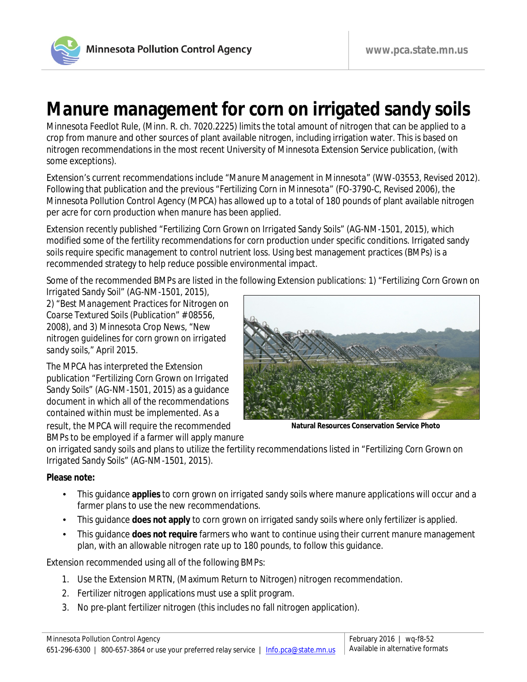

## **Manure management for corn on irrigated sandy soils**

Minnesota Feedlot Rule, (Minn. R. ch. 7020.2225) limits the total amount of nitrogen that can be applied to a crop from manure and other sources of plant available nitrogen, including irrigation water. This is based on nitrogen recommendations in the most recent University of Minnesota Extension Service publication, (with some exceptions).

Extension's current recommendations include "*Manure Management in Minnesota"* (WW-03553, Revised 2012). Following that publication and the previous *"Fertilizing Corn in Minnesota"* (FO-3790-C, Revised 2006), the Minnesota Pollution Control Agency (MPCA) has allowed up to a total of 180 pounds of plant available nitrogen per acre for corn production when manure has been applied.

Extension recently published "*Fertilizing Corn Grown on Irrigated Sandy Soils*" (AG-NM-1501, 2015), which modified some of the fertility recommendations for corn production under specific conditions. Irrigated sandy soils require specific management to control nutrient loss. Using best management practices (BMPs) is a recommended strategy to help reduce possible environmental impact.

Some of the recommended BMPs are listed in the following Extension publications: 1) "*Fertilizing Corn Grown on* 

*Irrigated Sandy Soil" (*AG-NM-1501, 2015), 2) "*Best Management Practices for Nitrogen on Coarse Textured Soils (Publication"* # 08556, 2008), and 3) Minnesota Crop News, "*New nitrogen guidelines for corn grown on irrigated sandy soils,*" April 2015.

The MPCA has interpreted the Extension publication "*Fertilizing Corn Grown on Irrigated Sandy Soils*" (AG-NM-1501, 2015) as a guidance document in which all of the recommendations contained within must be implemented. As a result, the MPCA will require the recommended BMPs to be employed if a farmer will apply manure



**Natural Resources Conservation Service Photo**

on irrigated sandy soils and plans to utilize the fertility recommendations listed in "*Fertilizing Corn Grown on Irrigated Sandy Soils*" (AG-NM-1501, 2015).

## **Please note:**

- This guidance **applies** to corn grown on irrigated sandy soils where manure applications will occur and a farmer plans to use the new recommendations.
- This guidance **does not apply** to corn grown on irrigated sandy soils where only fertilizer is applied.
- This guidance **does not require** farmers who want to continue using their current manure management plan, with an allowable nitrogen rate up to 180 pounds, to follow this guidance.

Extension recommended using all of the following BMPs:

- 1. Use the Extension MRTN, (Maximum Return to Nitrogen) nitrogen recommendation.
- 2. Fertilizer nitrogen applications must use a split program.
- 3. No pre-plant fertilizer nitrogen (this includes no fall nitrogen application).